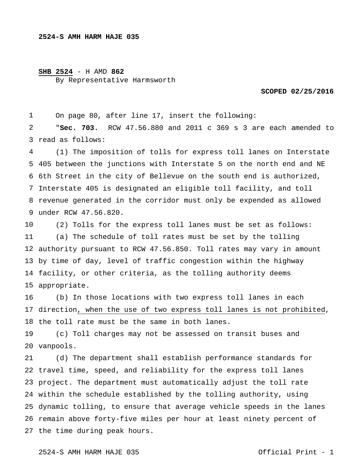## **SHB 2524** - H AMD **862**

By Representative Harmsworth

**SCOPED 02/25/2016** 

 On page 80, after line 17, insert the following:

 read as follows: "**Sec. 703.** RCW 47.56.880 and 2011 c 369 s 3 are each amended to

 405 between the junctions with Interstate 5 on the north end and NE 6th Street in the city of Bellevue on the south end is authorized, Interstate 405 is designated an eligible toll facility, and toll revenue generated in the corridor must only be expended as allowed under RCW 47.56.820. (1) The imposition of tolls for express toll lanes on Interstate

 authority pursuant to RCW 47.56.850. Toll rates may vary in amount by time of day, level of traffic congestion within the highway facility, or other criteria, as the tolling authority deems appropriate. (2) Tolls for the express toll lanes must be set as follows: (a) The schedule of toll rates must be set by the tolling

 direction, when the use of two express toll lanes is not prohibited, the toll rate must be the same in both lanes. (b) In those locations with two express toll lanes in each

 vanpools. (c) Toll charges may not be assessed on transit buses and

 travel time, speed, and reliability for the express toll lanes project. The department must automatically adjust the toll rate within the schedule established by the tolling authority, using dynamic tolling, to ensure that average vehicle speeds in the lanes remain above forty-five miles per hour at least ninety percent of the time during peak hours. (d) The department shall establish performance standards for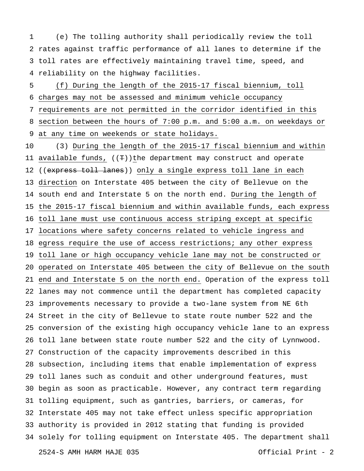rates against traffic performance of all lanes to determine if the toll rates are effectively maintaining travel time, speed, and reliability on the highway facilities. (e) The tolling authority shall periodically review the toll

 charges may not be assessed and minimum vehicle occupancy requirements are not permitted in the corridor identified in this section between the hours of 7:00 p.m. and 5:00 a.m. on weekdays or at any time on weekends or state holidays. (f) During the length of the 2015-17 fiscal biennium, toll

 available funds, ((T))the department may construct and operate 12 ((express toll lanes)) only a single express toll lane in each direction on Interstate 405 between the city of Bellevue on the south end and Interstate 5 on the north end. During the length of the 2015-17 fiscal biennium and within available funds, each express toll lane must use continuous access striping except at specific locations where safety concerns related to vehicle ingress and egress require the use of access restrictions; any other express toll lane or high occupancy vehicle lane may not be constructed or operated on Interstate 405 between the city of Bellevue on the south end and Interstate 5 on the north end. Operation of the express toll lanes may not commence until the department has completed capacity improvements necessary to provide a two-lane system from NE 6th Street in the city of Bellevue to state route number 522 and the conversion of the existing high occupancy vehicle lane to an express toll lane between state route number 522 and the city of Lynnwood. Construction of the capacity improvements described in this subsection, including items that enable implementation of express toll lanes such as conduit and other underground features, must begin as soon as practicable. However, any contract term regarding tolling equipment, such as gantries, barriers, or cameras, for Interstate 405 may not take effect unless specific appropriation authority is provided in 2012 stating that funding is provided solely for tolling equipment on Interstate 405. The department shall (3) During the length of the 2015-17 fiscal biennium and within

2524-S AMH HARM HAJE 035 Official Print - 2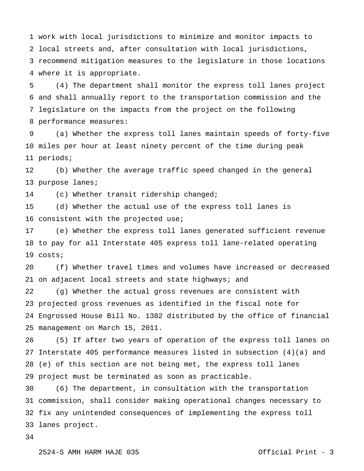work with local jurisdictions to minimize and monitor impacts to local streets and, after consultation with local jurisdictions, recommend mitigation measures to the legislature in those locations where it is appropriate.

 and shall annually report to the transportation commission and the legislature on the impacts from the project on the following performance measures: (4) The department shall monitor the express toll lanes project

 miles per hour at least ninety percent of the time during peak periods; (a) Whether the express toll lanes maintain speeds of forty-five

 purpose lanes; (b) Whether the average traffic speed changed in the general

 (c) Whether transit ridership changed;

 consistent with the projected use; (d) Whether the actual use of the express toll lanes is

 to pay for all Interstate 405 express toll lane-related operating costs; (e) Whether the express toll lanes generated sufficient revenue

 on adjacent local streets and state highways; and (f) Whether travel times and volumes have increased or decreased

 projected gross revenues as identified in the fiscal note for Engrossed House Bill No. 1382 distributed by the office of financial management on March 15, 2011. (g) Whether the actual gross revenues are consistent with

 Interstate 405 performance measures listed in subsection (4)(a) and (e) of this section are not being met, the express toll lanes project must be terminated as soon as practicable. (5) If after two years of operation of the express toll lanes on

 commission, shall consider making operational changes necessary to fix any unintended consequences of implementing the express toll lanes project. (6) The department, in consultation with the transportation